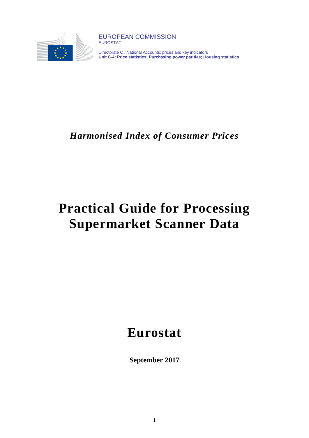

EUROPEAN COMMISSION EUROSTAT

Directorate C : National Accounts; prices and key indicators **Unit C-4: Price statistics; Purchasing power parities; Housing statistics**

## *Harmonised Index of Consumer Prices*

# **Practical Guide for Processing Supermarket Scanner Data**

# **Eurostat**

**September 2017**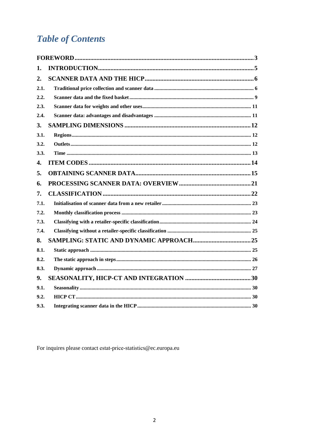## **Table of Contents**

| 1.               |  |
|------------------|--|
| 2.               |  |
| 2.1.             |  |
| 2.2.             |  |
| 2.3.             |  |
| 2.4.             |  |
| 3.               |  |
| 3.1.             |  |
| 3.2.             |  |
| 3.3.             |  |
| $\overline{4}$ . |  |
| 5.               |  |
| 6.               |  |
| 7.               |  |
| 7.1.             |  |
| 7.2.             |  |
| 7.3.             |  |
| 7.4.             |  |
| 8.               |  |
| 8.1.             |  |
| 8.2.             |  |
| 8.3.             |  |
| 9.               |  |
| 9.1.             |  |
| 9.2.             |  |
| 9.3.             |  |

For inquires please contact estat-price-statistics@ec.europa.eu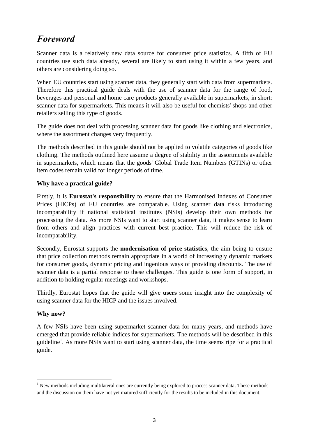## <span id="page-2-0"></span>*Foreword*

Scanner data is a relatively new data source for consumer price statistics. A fifth of EU countries use such data already, several are likely to start using it within a few years, and others are considering doing so.

When EU countries start using scanner data, they generally start with data from supermarkets. Therefore this practical guide deals with the use of scanner data for the range of food, beverages and personal and home care products generally available in supermarkets, in short: scanner data for supermarkets. This means it will also be useful for chemists' shops and other retailers selling this type of goods.

The guide does not deal with processing scanner data for goods like clothing and electronics, where the assortment changes very frequently.

The methods described in this guide should not be applied to volatile categories of goods like clothing. The methods outlined here assume a degree of stability in the assortments available in supermarkets, which means that the goods' Global Trade Item Numbers (GTINs) or other item codes remain valid for longer periods of time.

### **Why have a practical guide?**

Firstly, it is **Eurostat's responsibility** to ensure that the Harmonised Indexes of Consumer Prices (HICPs) of EU countries are comparable. Using scanner data risks introducing incomparability if national statistical institutes (NSIs) develop their own methods for processing the data. As more NSIs want to start using scanner data, it makes sense to learn from others and align practices with current best practice. This will reduce the risk of incomparability.

Secondly, Eurostat supports the **modernisation of price statistics**, the aim being to ensure that price collection methods remain appropriate in a world of increasingly dynamic markets for consumer goods, dynamic pricing and ingenious ways of providing discounts. The use of scanner data is a partial response to these challenges. This guide is one form of support, in addition to holding regular meetings and workshops.

Thirdly, Eurostat hopes that the guide will give **users** some insight into the complexity of using scanner data for the HICP and the issues involved.

#### **Why now?**

A few NSIs have been using supermarket scanner data for many years, and methods have emerged that provide reliable indices for supermarkets. The methods will be described in this guideline<sup>1</sup>. As more NSIs want to start using scanner data, the time seems ripe for a practical guide.

 $\overline{a}$  $<sup>1</sup>$  New methods including multilateral ones are currently being explored to process scanner data. These methods</sup> and the discussion on them have not yet matured sufficiently for the results to be included in this document.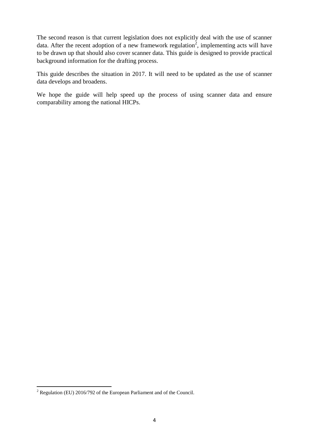The second reason is that current legislation does not explicitly deal with the use of scanner data. After the recent adoption of a new framework regulation<sup>2</sup>, implementing acts will have to be drawn up that should also cover scanner data. This guide is designed to provide practical background information for the drafting process.

This guide describes the situation in 2017. It will need to be updated as the use of scanner data develops and broadens.

We hope the guide will help speed up the process of using scanner data and ensure comparability among the national HICPs.

l

 $2$  Regulation (EU) 2016/792 of the European Parliament and of the Council.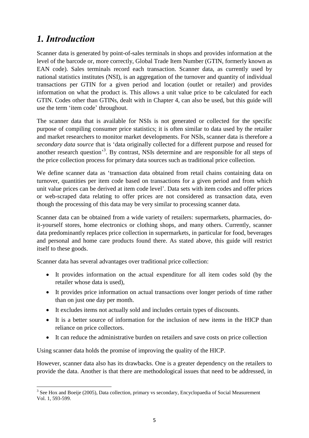## <span id="page-4-0"></span>*1. Introduction*

Scanner data is generated by point-of-sales terminals in shops and provides information at the level of the barcode or, more correctly, Global Trade Item Number (GTIN, formerly known as EAN code). Sales terminals record each transaction. Scanner data, as currently used by national statistics institutes (NSI), is an aggregation of the turnover and quantity of individual transactions per GTIN for a given period and location (outlet or retailer) and provides information on what the product is. This allows a unit value price to be calculated for each GTIN. Codes other than GTINs, dealt with in Chapter 4, can also be used, but this guide will use the term 'item code' throughout.

The scanner data that is available for NSIs is not generated or collected for the specific purpose of compiling consumer price statistics; it is often similar to data used by the retailer and market researchers to monitor market developments. For NSIs, scanner data is therefore a *secondary data source* that is 'data originally collected for a different purpose and reused for another research question<sup>3</sup>. By contrast, NSIs determine and are responsible for all steps of the price collection process for primary data sources such as traditional price collection.

We define scanner data as 'transaction data obtained from retail chains containing data on turnover, quantities per item code based on transactions for a given period and from which unit value prices can be derived at item code level'. Data sets with item codes and offer prices or web-scraped data relating to offer prices are not considered as transaction data, even though the processing of this data may be very similar to processing scanner data.

Scanner data can be obtained from a wide variety of retailers: supermarkets, pharmacies, doit-yourself stores, home electronics or clothing shops, and many others. Currently, scanner data predominantly replaces price collection in supermarkets, in particular for food, beverages and personal and home care products found there. As stated above, this guide will restrict itself to these goods.

Scanner data has several advantages over traditional price collection:

- It provides information on the actual expenditure for all item codes sold (by the retailer whose data is used),
- It provides price information on actual transactions over longer periods of time rather than on just one day per month.
- It excludes items not actually sold and includes certain types of discounts.
- It is a better source of information for the inclusion of new items in the HICP than reliance on price collectors.
- It can reduce the administrative burden on retailers and save costs on price collection

Using scanner data holds the promise of improving the quality of the HICP.

However, scanner data also has its drawbacks. One is a greater dependency on the retailers to provide the data. Another is that there are methodological issues that need to be addressed, in

<sup>&</sup>lt;sup>3</sup> See Hox and Boeije (2005), Data collection, primary vs secondary, Encyclopaedia of Social Measurement Vol. 1, 593-599.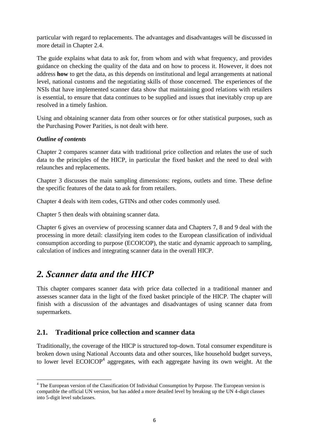particular with regard to replacements. The advantages and disadvantages will be discussed in more detail in Chapter 2.4.

The guide explains what data to ask for, from whom and with what frequency, and provides guidance on checking the quality of the data and on how to process it. However, it does not address **how** to get the data, as this depends on institutional and legal arrangements at national level, national customs and the negotiating skills of those concerned. The experiences of the NSIs that have implemented scanner data show that maintaining good relations with retailers is essential, to ensure that data continues to be supplied and issues that inevitably crop up are resolved in a timely fashion.

Using and obtaining scanner data from other sources or for other statistical purposes, such as the Purchasing Power Parities, is not dealt with here.

### *Outline of contents*

 $\overline{\phantom{a}}$ 

Chapter 2 compares scanner data with traditional price collection and relates the use of such data to the principles of the HICP, in particular the fixed basket and the need to deal with relaunches and replacements.

Chapter 3 discusses the main sampling dimensions: regions, outlets and time. These define the specific features of the data to ask for from retailers.

Chapter 4 deals with item codes, GTINs and other codes commonly used.

Chapter 5 then deals with obtaining scanner data.

Chapter 6 gives an overview of processing scanner data and Chapters 7, 8 and 9 deal with the processing in more detail: classifying item codes to the European classification of individual consumption according to purpose (ECOICOP), the static and dynamic approach to sampling, calculation of indices and integrating scanner data in the overall HICP.

## <span id="page-5-0"></span>*2. Scanner data and the HICP*

This chapter compares scanner data with price data collected in a traditional manner and assesses scanner data in the light of the fixed basket principle of the HICP. The chapter will finish with a discussion of the advantages and disadvantages of using scanner data from supermarkets.

## <span id="page-5-1"></span>**2.1. Traditional price collection and scanner data**

Traditionally, the coverage of the HICP is structured top-down. Total consumer expenditure is broken down using National Accounts data and other sources, like household budget surveys, to lower level  $ECOICOP<sup>4</sup>$  aggregates, with each aggregate having its own weight. At the

<sup>&</sup>lt;sup>4</sup> The European version of the Classification Of Individual Consumption by Purpose. The European version is compatible the official UN version, but has added a more detailed level by breaking up the UN 4-digit classes into 5-digit level subclasses.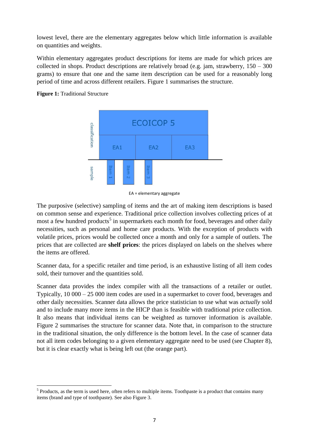lowest level, there are the elementary aggregates below which little information is available on quantities and weights.

Within elementary aggregates product descriptions for items are made for which prices are collected in shops. Product descriptions are relatively broad (e.g. jam, strawberry,  $150 - 300$ ) grams) to ensure that one and the same item description can be used for a reasonably long period of time and across different retailers. Figure 1 summarises the structure.



 $\overline{\phantom{a}}$ 



EA = elementary aggregate

The purposive (selective) sampling of items and the art of making item descriptions is based on common sense and experience. Traditional price collection involves collecting prices of at most a few hundred products<sup>5</sup> in supermarkets each month for food, beverages and other daily necessities, such as personal and home care products. With the exception of products with volatile prices, prices would be collected once a month and only for a sample of outlets. The prices that are collected are **shelf prices**: the prices displayed on labels on the shelves where the items are offered.

Scanner data, for a specific retailer and time period, is an exhaustive listing of all item codes sold, their turnover and the quantities sold.

Scanner data provides the index compiler with all the transactions of a retailer or outlet. Typically, 10 000 – 25 000 item codes are used in a supermarket to cover food, beverages and other daily necessities. Scanner data allows the price statistician to use what was *actually* sold and to include many more items in the HICP than is feasible with traditional price collection. It also means that individual items can be weighted as turnover information is available. Figure 2 summarises the structure for scanner data. Note that, in comparison to the structure in the traditional situation, the only difference is the bottom level. In the case of scanner data not all item codes belonging to a given elementary aggregate need to be used (see Chapter 8), but it is clear exactly what is being left out (the orange part).

 $<sup>5</sup>$  Products, as the term is used here, often refers to multiple items. Toothpaste is a product that contains many</sup> items (brand and type of toothpaste). See also Figure 3.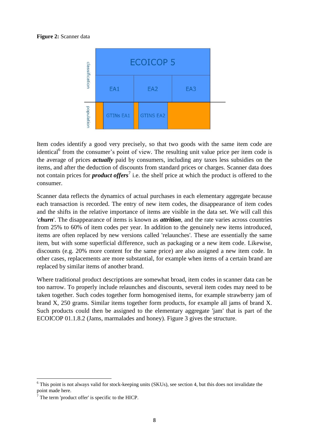#### **Figure 2:** Scanner data



Item codes identify a good very precisely, so that two goods with the same item code are identical<sup>6</sup> from the consumer's point of view. The resulting unit value price per item code is the average of prices *actually* paid by consumers, including any taxes less subsidies on the items, and after the deduction of discounts from standard prices or charges. Scanner data does not contain prices for *product offers*<sup>7</sup> i.e. the shelf price at which the product is offered to the consumer.

Scanner data reflects the dynamics of actual purchases in each elementary aggregate because each transaction is recorded. The entry of new item codes, the disappearance of item codes and the shifts in the relative importance of items are visible in the data set. We will call this '*churn*'. The disappearance of items is known as *attrition*, and the rate varies across countries from 25% to 60% of item codes per year. In addition to the genuinely new items introduced, items are often replaced by new versions called 'relaunches'. These are essentially the same item, but with some superficial difference, such as packaging or a new item code. Likewise, discounts (e.g. 20% more content for the same price) are also assigned a new item code. In other cases, replacements are more substantial, for example when items of a certain brand are replaced by similar items of another brand.

Where traditional product descriptions are somewhat broad, item codes in scanner data can be too narrow. To properly include relaunches and discounts, several item codes may need to be taken together. Such codes together form homogenised items, for example strawberry jam of brand X, 250 grams. Similar items together form products, for example all jams of brand X. Such products could then be assigned to the elementary aggregate 'jam' that is part of the ECOICOP 01.1.8.2 (Jams, marmalades and honey). Figure 3 gives the structure.

 $\overline{\phantom{a}}$ 

 $6$  This point is not always valid for stock-keeping units (SKUs), see section 4, but this does not invalidate the point made here.

 $<sup>7</sup>$  The term 'product offer' is specific to the HICP.</sup>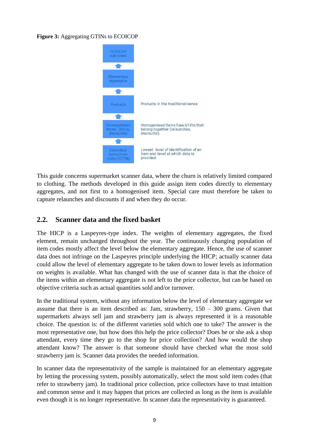#### **Figure 3:** Aggregating GTINs to ECOICOP



This guide concerns supermarket scanner data, where the churn is relatively limited compared to clothing. The methods developed in this guide assign item codes directly to elementary aggregates, and not first to a homogenised item. Special care must therefore be taken to capture relaunches and discounts if and when they do occur.

### <span id="page-8-0"></span>**2.2. Scanner data and the fixed basket**

The HICP is a Laspeyres-type index. The weights of elementary aggregates, the fixed element, remain unchanged throughout the year. The continuously changing population of item codes mostly affect the level below the elementary aggregate. Hence, the use of scanner data does not infringe on the Laspeyres principle underlying the HICP; actually scanner data could allow the level of elementary aggregate to be taken down to lower levels as information on weights is available. What has changed with the use of scanner data is that the choice of the items within an elementary aggregate is not left to the price collector, but can be based on objective criteria such as actual quantities sold and/or turnover.

In the traditional system, without any information below the level of elementary aggregate we assume that there is an item described as: Jam, strawberry,  $150 - 300$  grams. Given that supermarkets always sell jam and strawberry jam is always represented it is a reasonable choice. The question is: of the different varieties sold which one to take? The answer is the most representative one, but how does this help the price collector? Does he or she ask a shop attendant, every time they go to the shop for price collection? And how would the shop attendant know? The answer is that someone should have checked what the most sold strawberry jam is. Scanner data provides the needed information.

In scanner data the representativity of the sample is maintained for an elementary aggregate by letting the processing system, possibly automatically, select the most sold item codes (that refer to strawberry jam). In traditional price collection, price collectors have to trust intuition and common sense and it may happen that prices are collected as long as the item is available even though it is no longer representative. In scanner data the representativity is guaranteed.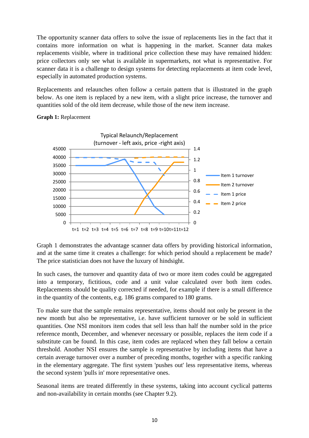The opportunity scanner data offers to solve the issue of replacements lies in the fact that it contains more information on what is happening in the market. Scanner data makes replacements visible, where in traditional price collection these may have remained hidden: price collectors only see what is available in supermarkets, not what is representative. For scanner data it is a challenge to design systems for detecting replacements at item code level, especially in automated production systems.

Replacements and relaunches often follow a certain pattern that is illustrated in the graph below. As one item is replaced by a new item, with a slight price increase, the turnover and quantities sold of the old item decrease, while those of the new item increase.



#### **Graph 1:** Replacement

Graph 1 demonstrates the advantage scanner data offers by providing historical information, and at the same time it creates a challenge: for which period should a replacement be made? The price statistician does not have the luxury of hindsight.

In such cases, the turnover and quantity data of two or more item codes could be aggregated into a temporary, fictitious, code and a unit value calculated over both item codes. Replacements should be quality corrected if needed, for example if there is a small difference in the quantity of the contents, e.g. 186 grams compared to 180 grams.

To make sure that the sample remains representative, items should not only be present in the new month but also be representative, i.e. have sufficient turnover or be sold in sufficient quantities. One NSI monitors item codes that sell less than half the number sold in the price reference month, December, and whenever necessary or possible, replaces the item code if a substitute can be found. In this case, item codes are replaced when they fall below a certain threshold. Another NSI ensures the sample is representative by including items that have a certain average turnover over a number of preceding months, together with a specific ranking in the elementary aggregate. The first system 'pushes out' less representative items, whereas the second system 'pulls in' more representative ones.

Seasonal items are treated differently in these systems, taking into account cyclical patterns and non-availability in certain months (see Chapter 9.2).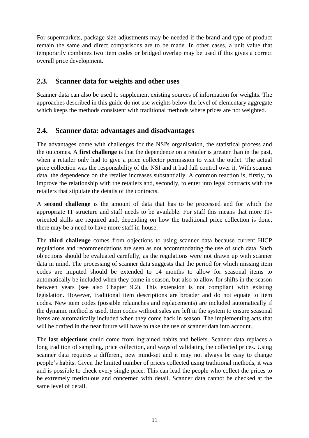For supermarkets, package size adjustments may be needed if the brand and type of product remain the same and direct comparisons are to be made. In other cases, a unit value that temporarily combines two item codes or bridged overlap may be used if this gives a correct overall price development.

## <span id="page-10-0"></span>**2.3. Scanner data for weights and other uses**

Scanner data can also be used to supplement existing sources of information for weights. The approaches described in this guide do not use weights below the level of elementary aggregate which keeps the methods consistent with traditional methods where prices are not weighted.

## <span id="page-10-1"></span>**2.4. Scanner data: advantages and disadvantages**

The advantages come with challenges for the NSI's organisation, the statistical process and the outcomes. A **first challenge** is that the dependence on a retailer is greater than in the past, when a retailer only had to give a price collector permission to visit the outlet. The actual price collection was the responsibility of the NSI and it had full control over it. With scanner data, the dependence on the retailer increases substantially. A common reaction is, firstly, to improve the relationship with the retailers and, secondly, to enter into legal contracts with the retailers that stipulate the details of the contracts.

A **second challenge** is the amount of data that has to be processed and for which the appropriate IT structure and staff needs to be available. For staff this means that more IToriented skills are required and, depending on how the traditional price collection is done, there may be a need to have more staff in-house.

The **third challenge** comes from objections to using scanner data because current HICP regulations and recommendations are seen as not accommodating the use of such data. Such objections should be evaluated carefully, as the regulations were not drawn up with scanner data in mind. The processing of scanner data suggests that the period for which missing item codes are imputed should be extended to 14 months to allow for seasonal items to automatically be included when they come in season, but also to allow for shifts in the season between years (see also Chapter 9.2). This extension is not compliant with existing legislation. However, traditional item descriptions are broader and do not equate to item codes. New item codes (possible relaunches and replacements) are included automatically if the dynamic method is used. Item codes without sales are left in the system to ensure seasonal items are automatically included when they come back in season. The implementing acts that will be drafted in the near future will have to take the use of scanner data into account.

The **last objections** could come from ingrained habits and beliefs. Scanner data replaces a long tradition of sampling, price collection, and ways of validating the collected prices. Using scanner data requires a different, new mind-set and it may not always be easy to change people's habits. Given the limited number of prices collected using traditional methods, it was and is possible to check every single price. This can lead the people who collect the prices to be extremely meticulous and concerned with detail. Scanner data cannot be checked at the same level of detail.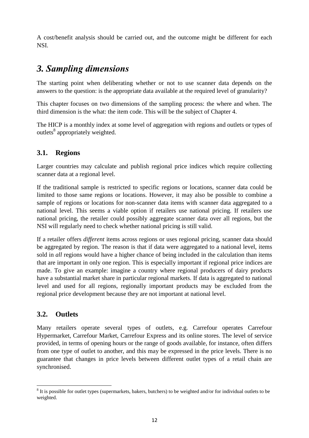A cost/benefit analysis should be carried out, and the outcome might be different for each NSI.

## <span id="page-11-0"></span>*3. Sampling dimensions*

The starting point when deliberating whether or not to use scanner data depends on the answers to the question: is the appropriate data available at the required level of granularity?

This chapter focuses on two dimensions of the sampling process: the where and when. The third dimension is the what: the item code. This will be the subject of Chapter 4.

The HICP is a monthly index at some level of aggregation with regions and outlets or types of outlets<sup>8</sup> appropriately weighted.

## <span id="page-11-1"></span>**3.1. Regions**

Larger countries may calculate and publish regional price indices which require collecting scanner data at a regional level.

If the traditional sample is restricted to specific regions or locations, scanner data could be limited to those same regions or locations. However, it may also be possible to combine a sample of regions or locations for non-scanner data items with scanner data aggregated to a national level. This seems a viable option if retailers use national pricing. If retailers use national pricing, the retailer could possibly aggregate scanner data over all regions, but the NSI will regularly need to check whether national pricing is still valid.

If a retailer offers *different* items across regions or uses regional pricing, scanner data should be aggregated by region. The reason is that if data were aggregated to a national level, items sold in *all* regions would have a higher chance of being included in the calculation than items that are important in only one region. This is especially important if regional price indices are made. To give an example: imagine a country where regional producers of dairy products have a substantial market share in particular regional markets. If data is aggregated to national level and used for all regions, regionally important products may be excluded from the regional price development because they are not important at national level.

## <span id="page-11-2"></span>**3.2. Outlets**

Many retailers operate several types of outlets, e.g. Carrefour operates Carrefour Hypermarket, Carrefour Market, Carrefour Express and its online stores. The level of service provided, in terms of opening hours or the range of goods available, for instance, often differs from one type of outlet to another, and this may be expressed in the price levels. There is no guarantee that changes in price levels between different outlet types of a retail chain are synchronised.

 $\overline{\phantom{a}}$  $8$  It is possible for outlet types (supermarkets, bakers, butchers) to be weighted and/or for individual outlets to be weighted.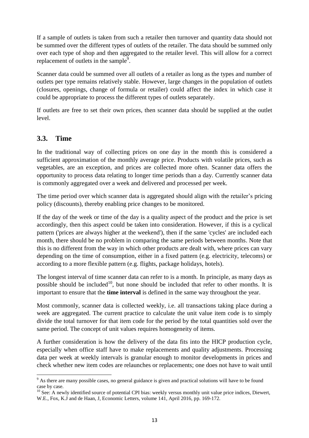If a sample of outlets is taken from such a retailer then turnover and quantity data should not be summed over the different types of outlets of the retailer. The data should be summed only over each type of shop and then aggregated to the retailer level. This will allow for a correct replacement of outlets in the sample<sup>9</sup>.

Scanner data could be summed over all outlets of a retailer as long as the types and number of outlets per type remains relatively stable. However, large changes in the population of outlets (closures, openings, change of formula or retailer) could affect the index in which case it could be appropriate to process the different types of outlets separately.

If outlets are free to set their own prices, then scanner data should be supplied at the outlet level.

## <span id="page-12-0"></span>**3.3. Time**

In the traditional way of collecting prices on one day in the month this is considered a sufficient approximation of the monthly average price. Products with volatile prices, such as vegetables, are an exception, and prices are collected more often. Scanner data offers the opportunity to process data relating to longer time periods than a day. Currently scanner data is commonly aggregated over a week and delivered and processed per week.

The time period over which scanner data is aggregated should align with the retailer's pricing policy (discounts), thereby enabling price changes to be monitored.

If the day of the week or time of the day is a quality aspect of the product and the price is set accordingly, then this aspect could be taken into consideration. However, if this is a cyclical pattern ('prices are always higher at the weekend'), then if the same 'cycles' are included each month, there should be no problem in comparing the same periods between months. Note that this is no different from the way in which other products are dealt with, where prices can vary depending on the time of consumption, either in a fixed pattern (e.g. electricity, telecoms) or according to a more flexible pattern (e.g. flights, package holidays, hotels).

The longest interval of time scanner data can refer to is a month. In principle, as many days as possible should be included<sup>10</sup>, but none should be included that refer to other months. It is important to ensure that the **time interval** is defined in the same way throughout the year.

Most commonly, scanner data is collected weekly, i.e. all transactions taking place during a week are aggregated. The current practice to calculate the unit value item code is to simply divide the total turnover for that item code for the period by the total quantities sold over the same period. The concept of unit values requires homogeneity of items.

A further consideration is how the delivery of the data fits into the HICP production cycle, especially when office staff have to make replacements and quality adjustments. Processing data per week at weekly intervals is granular enough to monitor developments in prices and check whether new item codes are relaunches or replacements; one does not have to wait until

 $\overline{\phantom{a}}$ <sup>9</sup> As there are many possible cases, no general guidance is given and practical solutions will have to be found case by case.

<sup>&</sup>lt;sup>10</sup> See: A newly identified source of potential CPI bias: weekly versus monthly unit value price indices, Diewert, W.E., Fox, K.J and de Haan, J, Economic Letters, volume 141, April 2016, pp. 169-172.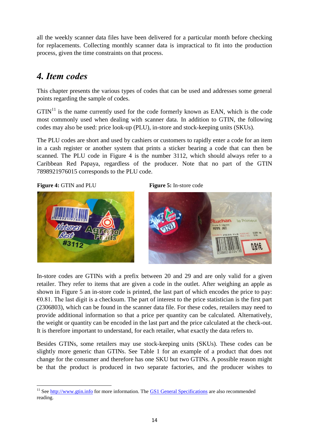all the weekly scanner data files have been delivered for a particular month before checking for replacements. Collecting monthly scanner data is impractical to fit into the production process, given the time constraints on that process.

## <span id="page-13-0"></span>*4. Item codes*

This chapter presents the various types of codes that can be used and addresses some general points regarding the sample of codes.

 $GTIN<sup>11</sup>$  is the name currently used for the code formerly known as EAN, which is the code most commonly used when dealing with scanner data. In addition to GTIN, the following codes may also be used: price look-up (PLU), in-store and stock-keeping units (SKUs).

The PLU codes are short and used by cashiers or customers to rapidly enter a code for an item in a cash register or another system that prints a sticker bearing a code that can then be scanned. The PLU code in Figure 4 is the number 3112, which should always refer to a Caribbean Red Papaya, regardless of the producer. Note that no part of the GTIN 7898921976015 corresponds to the PLU code.

#### **Figure 4:** GTIN and PLU **Figure 5:** In-store code







In-store codes are GTINs with a prefix between 20 and 29 and are only valid for a given retailer. They refer to items that are given a code in the outlet. After weighing an apple as shown in Figure 5 an in-store code is printed, the last part of which encodes the price to pay:  $\epsilon$ 0.81. The last digit is a checksum. The part of interest to the price statistician is the first part (2306803), which can be found in the scanner data file. For these codes, retailers may need to provide additional information so that a price per quantity can be calculated. Alternatively, the weight or quantity can be encoded in the last part and the price calculated at the check-out. It is therefore important to understand, for each retailer, what exactly the data refers to.

Besides GTINs, some retailers may use stock-keeping units (SKUs). These codes can be slightly more generic than GTINs. See Table 1 for an example of a product that does not change for the consumer and therefore has one SKU but two GTINs. A possible reason might be that the product is produced in two separate factories, and the producer wishes to

 $\overline{\phantom{a}}$ <sup>11</sup> See [http://www.gtin.info](http://www.gtin.info/) for more information. The [GS1 General Specifications](http://www.gs1.org/barcodes-epcrfid-id-keys/gs1-general-specifications) are also recommended reading.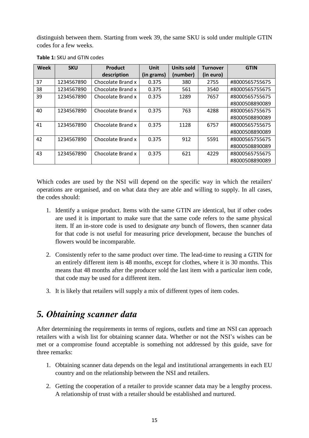distinguish between them. Starting from week 39, the same SKU is sold under multiple GTIN codes for a few weeks.

| <b>Week</b> | <b>SKU</b> | Product           | Unit       | <b>Units sold</b> | <b>Turnover</b> | <b>GTIN</b>    |
|-------------|------------|-------------------|------------|-------------------|-----------------|----------------|
|             |            | description       | (in grams) | (number)          | (in euro)       |                |
| 37          | 1234567890 | Chocolate Brand x | 0.375      | 380               | 2755            | #8000565755675 |
| 38          | 1234567890 | Chocolate Brand x | 0.375      | 561               | 3540            | #8000565755675 |
| 39          | 1234567890 | Chocolate Brand x | 0.375      | 1289              | 7657            | #8000565755675 |
|             |            |                   |            |                   |                 | #8000508890089 |
| 40          | 1234567890 | Chocolate Brand x | 0.375      | 763               | 4288            | #8000565755675 |
|             |            |                   |            |                   |                 | #8000508890089 |
| 41          | 1234567890 | Chocolate Brand x | 0.375      | 1128              | 6757            | #8000565755675 |
|             |            |                   |            |                   |                 | #8000508890089 |
| 42          | 1234567890 | Chocolate Brand x | 0.375      | 912               | 5591            | #8000565755675 |
|             |            |                   |            |                   |                 | #8000508890089 |
| 43          | 1234567890 | Chocolate Brand x | 0.375      | 621               | 4229            | #8000565755675 |
|             |            |                   |            |                   |                 | #8000508890089 |

#### **Table 1:** SKU and GTIN codes

Which codes are used by the NSI will depend on the specific way in which the retailers' operations are organised, and on what data they are able and willing to supply. In all cases, the codes should:

- 1. Identify a unique product. Items with the same GTIN are identical, but if other codes are used it is important to make sure that the same code refers to the same physical item. If an in-store code is used to designate *any* bunch of flowers, then scanner data for that code is not useful for measuring price development, because the bunches of flowers would be incomparable.
- 2. Consistently refer to the same product over time. The lead-time to reusing a GTIN for an entirely different item is 48 months, except for clothes, where it is 30 months. This means that 48 months after the producer sold the last item with a particular item code, that code may be used for a different item.
- 3. It is likely that retailers will supply a mix of different types of item codes.

## <span id="page-14-0"></span>*5. Obtaining scanner data*

After determining the requirements in terms of regions, outlets and time an NSI can approach retailers with a wish list for obtaining scanner data. Whether or not the NSI's wishes can be met or a compromise found acceptable is something not addressed by this guide, save for three remarks:

- 1. Obtaining scanner data depends on the legal and institutional arrangements in each EU country and on the relationship between the NSI and retailers.
- 2. Getting the cooperation of a retailer to provide scanner data may be a lengthy process. A relationship of trust with a retailer should be established and nurtured.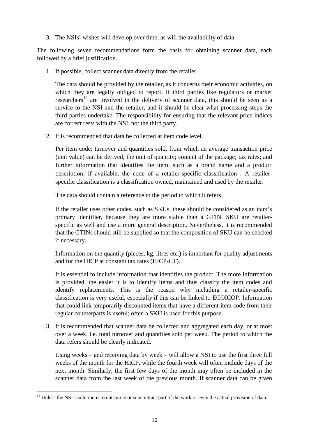3. The NSIs' wishes will develop over time, as will the availability of data.

The following seven recommendations form the basis for obtaining scanner data, each followed by a brief justification.

1. If possible, collect scanner data directly from the retailer.

The data should be provided by the retailer, as it concerns their economic activities, on which they are legally obliged to report. If third parties like regulators or market researchers<sup>12</sup> are involved in the delivery of scanner data, this should be seen as a service to the NSI and the retailer, and it should be clear what processing steps the third parties undertake. The responsibility for ensuring that the relevant price indices are correct rests with the NSI, not the third party.

2. It is recommended that data be collected at item code level.

Per item code: turnover and quantities sold, from which an average transaction price (unit value) can be derived; the unit of quantity; content of the package; tax rates; and further information that identifies the item, such as a brand name and a product description; if available, the code of a retailer-specific classification . A retailerspecific classification is a classification owned, maintained and used by the retailer.

The data should contain a reference to the period to which it refers.

If the retailer uses other codes, such as SKUs, these should be considered as an item's primary identifier, because they are more stable than a GTIN. SKU are retailerspecific as well and use a more general description. Nevertheless, it is recommended that the GTINs should still be supplied so that the composition of SKU can be checked if necessary.

Information on the quantity (pieces, kg, litres etc.) is important for quality adjustments and for the HICP at constant tax rates (HICP-CT).

It is essential to include information that identifies the product. The more information is provided, the easier it is to identify items and thus classify the item codes and identify replacements. This is the reason why including a retailer-specific classification is very useful, especially if this can be linked to ECOICOP. Information that could link temporarily discounted items that have a different item code from their regular counterparts is useful; often a SKU is used for this purpose.

3. It is recommended that scanner data be collected and aggregated each day, or at most over a week, i.e. total turnover and quantities sold per week. The period to which the data refers should be clearly indicated.

Using weeks – and receiving data by week – will allow a NSI to use the first three full weeks of the month for the HICP, while the fourth week will often include days of the next month. Similarly, the first few days of the month may often be included in the scanner data from the last week of the previous month. If scanner data can be given

 $\overline{a}$ 

 $12$  Unless the NSI's solution is to outsource or subcontract part of the work or even the actual provision of data.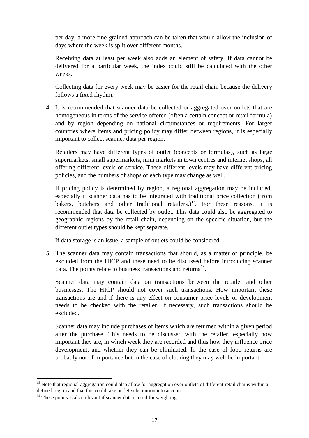per day, a more fine-grained approach can be taken that would allow the inclusion of days where the week is split over different months.

Receiving data at least per week also adds an element of safety. If data cannot be delivered for a particular week, the index could still be calculated with the other weeks.

Collecting data for every week may be easier for the retail chain because the delivery follows a fixed rhythm.

4. It is recommended that scanner data be collected or aggregated over outlets that are homogeneous in terms of the service offered (often a certain concept or retail formula) and by region depending on national circumstances or requirements. For larger countries where items and pricing policy may differ between regions, it is especially important to collect scanner data per region.

Retailers may have different types of outlet (concepts or formulas), such as large supermarkets, small supermarkets, mini markets in town centres and internet shops, all offering different levels of service. These different levels may have different pricing policies, and the numbers of shops of each type may change as well.

If pricing policy is determined by region, a regional aggregation may be included, especially if scanner data has to be integrated with traditional price collection (from bakers, butchers and other traditional retailers.)<sup>13</sup>. For these reasons, it is recommended that data be collected by outlet. This data could also be aggregated to geographic regions by the retail chain, depending on the specific situation, but the different outlet types should be kept separate.

If data storage is an issue, a sample of outlets could be considered.

5. The scanner data may contain transactions that should, as a matter of principle, be excluded from the HICP and these need to be discussed before introducing scanner data. The points relate to business transactions and returns<sup>14</sup>.

Scanner data may contain data on transactions between the retailer and other businesses. The HICP should not cover such transactions. How important these transactions are and if there is any effect on consumer price levels or development needs to be checked with the retailer. If necessary, such transactions should be excluded.

Scanner data may include purchases of items which are returned within a given period after the purchase. This needs to be discussed with the retailer, especially how important they are, in which week they are recorded and thus how they influence price development, and whether they can be eliminated. In the case of food returns are probably not of importance but in the case of clothing they may well be important.

 $\overline{\phantom{a}}$  $13$  Note that regional aggregation could also allow for aggregation over outlets of different retail chains within a defined region and that this could take outlet-substitution into account.

 $14$  These points is also relevant if scanner data is used for weighting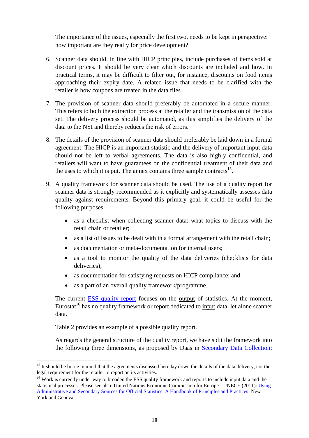The importance of the issues, especially the first two, needs to be kept in perspective: how important are they really for price development?

- 6. Scanner data should, in line with HICP principles, include purchases of items sold at discount prices. It should be very clear which discounts are included and how. In practical terms, it may be difficult to filter out, for instance, discounts on food items approaching their expiry date. A related issue that needs to be clarified with the retailer is how coupons are treated in the data files.
- 7. The provision of scanner data should preferably be automated in a secure manner. This refers to both the extraction process at the retailer and the transmission of the data set. The delivery process should be automated, as this simplifies the delivery of the data to the NSI and thereby reduces the risk of errors.
- 8. The details of the provision of scanner data should preferably be laid down in a formal agreement. The HICP is an important statistic and the delivery of important input data should not be left to verbal agreements. The data is also highly confidential, and retailers will want to have guarantees on the confidential treatment of their data and the uses to which it is put. The annex contains three sample contracts $^{15}$ .
- 9. A quality framework for scanner data should be used. The use of a quality report for scanner data is strongly recommended as it explicitly and systematically assesses data quality against requirements. Beyond this primary goal, it could be useful for the following purposes:
	- as a checklist when collecting scanner data: what topics to discuss with the retail chain or retailer;
	- as a list of issues to be dealt with in a formal arrangement with the retail chain;
	- as documentation or meta-documentation for internal users;
	- as a tool to monitor the quality of the data deliveries (checklists for data deliveries);
	- as documentation for satisfying requests on HICP compliance; and
	- as a part of an overall quality framework/programme.

The current [ESS quality report](http://ec.europa.eu/eurostat/documents/64157/4373903/03-Single-Integrated-Metadata-Structure-and-its-Technical-Manual.pdf/6013a162-e8e2-4a8a-8219-83e3318cbb39) focuses on the output of statistics. At the moment, Eurostat<sup>16</sup> has no quality framework or report dedicated to input data, let alone scanner data.

Table 2 provides an example of a possible quality report.

l

As regards the general structure of the quality report, we have split the framework into the following three dimensions, as proposed by Daas in [Secondary Data Collection:](http://www.cbs.nl/NR/rdonlyres/D1E23FC9-7887-4637-8AC9-ABABBF54C508/0/2012Secundarydatacollectionart.pdf)

<sup>&</sup>lt;sup>15</sup> It should be borne in mind that the agreements discussed here lay down the details of the data delivery, not the legal requirement for the retailer to report on its activities.

<sup>&</sup>lt;sup>16</sup> Work is currently under way to broaden the ESS quality framework and reports to include input data and the statistical processes. Please see also: United Nations Economic Commission for Europe - UNECE (2011): [Using](http://www.unece.org/fileadmin/DAM/stats/publications/Using_Administrative_Sources_Final_for_web.pdf)  [Administrative and Secondary Sources for Official Statistics: A Handbook of Principles and Practices.](http://www.unece.org/fileadmin/DAM/stats/publications/Using_Administrative_Sources_Final_for_web.pdf) New York and Geneva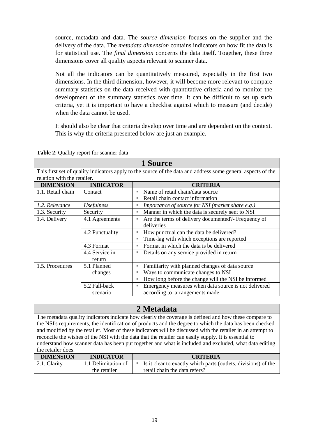source, metadata and data. The *source dimension* focuses on the supplier and the delivery of the data. The *metadata dimension* contains indicators on how fit the data is for statistical use. The *final dimension* concerns the data itself. Together, these three dimensions cover all quality aspects relevant to scanner data.

Not all the indicators can be quantitatively measured, especially in the first two dimensions. In the third dimension, however, it will become more relevant to compare summary statistics on the data received with quantitative criteria and to monitor the development of the summary statistics over time. It can be difficult to set up such criteria, yet it is important to have a checklist against which to measure (and decide) when the data cannot be used.

It should also be clear that criteria develop over time and are dependent on the context. This is why the criteria presented below are just an example.

| 1 Source                                                                                                     |                             |                                                                        |  |  |
|--------------------------------------------------------------------------------------------------------------|-----------------------------|------------------------------------------------------------------------|--|--|
| This first set of quality indicators apply to the source of the data and address some general aspects of the |                             |                                                                        |  |  |
|                                                                                                              | relation with the retailer. |                                                                        |  |  |
| <b>DIMENSION</b>                                                                                             | <b>INDICATOR</b>            | <b>CRITERIA</b>                                                        |  |  |
| 1.1. Retail chain                                                                                            | Contact                     | Name of retail chain/data source<br>п                                  |  |  |
|                                                                                                              |                             | Retail chain contact information                                       |  |  |
| 1.2. Relevance                                                                                               | <i>Usefulness</i>           | Importance of source for NSI (market share e.g.)<br>п                  |  |  |
| 1.3. Security                                                                                                | Security                    | Manner in which the data is securely sent to NSI<br>Ī.                 |  |  |
| 1.4. Delivery                                                                                                | 4.1 Agreements              | Are the terms of delivery documented?- Frequency of<br>п               |  |  |
|                                                                                                              |                             | deliveries                                                             |  |  |
|                                                                                                              | 4.2 Punctuality             | How punctual can the data be delivered?<br>ш                           |  |  |
|                                                                                                              |                             | Time-lag with which exceptions are reported<br>$\blacksquare$          |  |  |
|                                                                                                              | 4.3 Format                  | Format in which the data is be delivered<br>$\blacksquare$             |  |  |
|                                                                                                              | 4.4 Service in              | Details on any service provided in return<br>п                         |  |  |
|                                                                                                              | return                      |                                                                        |  |  |
| 1.5. Procedures                                                                                              | 5.1 Planned                 | Familiarity with planned changes of data source<br>ш                   |  |  |
|                                                                                                              | changes                     | Ways to communicate changes to NSI                                     |  |  |
|                                                                                                              |                             | How long before the change will the NSI be informed                    |  |  |
|                                                                                                              | 5.2 Fall-back               | Emergency measures when data source is not delivered<br>$\blacksquare$ |  |  |
|                                                                                                              | scenario                    | according to arrangements made                                         |  |  |

**Table 2**: Quality report for scanner data

## **2 Metadata**

The metadata quality indicators indicate how clearly the coverage is defined and how these compare to the NSI's requirements, the identification of products and the degree to which the data has been checked and modified by the retailer. Most of these indicators will be discussed with the retailer in an attempt to reconcile the wishes of the NSI with the data that the retailer can easily supply. It is essential to understand how scanner data has been put together and what is included and excluded, what data editing the retailer does.

| <b>DIMENSION</b> | <b>INDICATOR</b>    | <b>CRITERIA</b>                                                |
|------------------|---------------------|----------------------------------------------------------------|
| 2.1. Clarity     | 1.1 Delimitation of | Is it clear to exactly which parts (outlets, divisions) of the |
|                  | the retailer        | retail chain the data refers?                                  |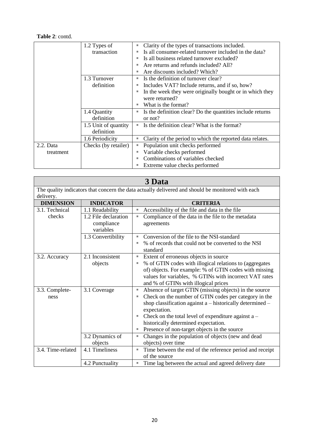#### **Table 2**: contd.

|             | 1.2 Types of         | Clarity of the types of transactions included.<br>L.            |
|-------------|----------------------|-----------------------------------------------------------------|
|             | transaction          | Is all consumer-related turnover included in the data?<br>ш     |
|             |                      | Is all business related turnover excluded?<br>ш                 |
|             |                      | Are returns and refunds included? All?<br>ш                     |
|             |                      | Are discounts included? Which?<br>ш                             |
|             | 1.3 Turnover         | Is the definition of turnover clear?<br>ш                       |
|             | definition           | Includes VAT? Include returns, and if so, how?                  |
|             |                      | In the week they were originally bought or in which they        |
|             |                      | were returned?                                                  |
|             |                      | What is the format?                                             |
|             | 1.4 Quantity         | Is the definition clear? Do the quantities include returns<br>Ξ |
|             | definition           | or not?                                                         |
|             | 1.5 Unit of quantity | Is the definition clear? What is the format?<br>٠               |
|             | definition           |                                                                 |
|             | 1.6 Periodicity      | Clarity of the period to which the reported data relates.<br>L. |
| $2.2.$ Data | Checks (by retailer) | Population unit checks performed                                |
| treatment   |                      | Variable checks performed<br>L.                                 |
|             |                      | Combinations of variables checked<br>ш                          |
|             |                      | Extreme value checks performed<br>L                             |

| 3 Data                                                                                            |                      |                                                                                               |  |
|---------------------------------------------------------------------------------------------------|----------------------|-----------------------------------------------------------------------------------------------|--|
| The quality indicators that concern the data actually delivered and should be monitored with each |                      |                                                                                               |  |
| delivery.                                                                                         |                      |                                                                                               |  |
| <b>DIMENSION</b>                                                                                  | <b>INDICATOR</b>     | <b>CRITERIA</b>                                                                               |  |
| 3.1. Technical                                                                                    | 1.1 Readability      | Accessibility of the file and data in the file<br>Ξ                                           |  |
| checks                                                                                            | 1.2 File declaration | Compliance of the data in the file to the metadata<br>Ē,                                      |  |
|                                                                                                   | compliance           | agreements                                                                                    |  |
|                                                                                                   | variables            |                                                                                               |  |
|                                                                                                   | 1.3 Convertibility   | Conversion of the file to the NSI-standard<br>$\blacksquare$                                  |  |
|                                                                                                   |                      | % of records that could not be converted to the NSI                                           |  |
|                                                                                                   |                      | standard                                                                                      |  |
| 3.2. Accuracy                                                                                     | 2.1 Inconsistent     | Extent of erroneous objects in source<br>п                                                    |  |
|                                                                                                   | objects              | % of GTIN codes with illogical relations to (aggregates<br>п                                  |  |
|                                                                                                   |                      | of) objects. For example: % of GTIN codes with missing                                        |  |
|                                                                                                   |                      | values for variables, % GTINs with incorrect VAT rates                                        |  |
|                                                                                                   |                      | and % of GTINs with illogical prices                                                          |  |
| 3.3. Complete-                                                                                    | 3.1 Coverage         | Absence of target GTIN (missing objects) in the source<br>$\blacksquare$                      |  |
| ness                                                                                              |                      | Check on the number of GTIN codes per category in the<br>п                                    |  |
|                                                                                                   |                      | shop classification against a – historically determined –                                     |  |
|                                                                                                   |                      | expectation.<br>$\blacksquare$                                                                |  |
|                                                                                                   |                      | Check on the total level of expenditure against $a -$<br>historically determined expectation. |  |
|                                                                                                   |                      | Presence of non-target objects in the source<br>Е                                             |  |
|                                                                                                   | 3.2 Dynamics of      | Changes in the population of objects (new and dead<br>Е                                       |  |
|                                                                                                   | objects              | objects) over time                                                                            |  |
| 3.4. Time-related                                                                                 | 4.1 Timeliness       | Time between the end of the reference period and receipt<br>$\blacksquare$                    |  |
|                                                                                                   |                      | of the source                                                                                 |  |
|                                                                                                   | 4.2 Punctuality      | Time lag between the actual and agreed delivery date<br>П                                     |  |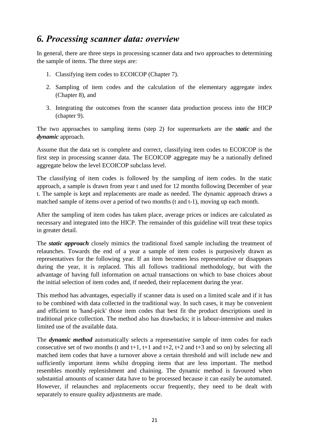## <span id="page-20-0"></span>*6. Processing scanner data: overview*

In general, there are three steps in processing scanner data and two approaches to determining the sample of items. The three steps are:

- 1. Classifying item codes to ECOICOP (Chapter 7).
- 2. Sampling of item codes and the calculation of the elementary aggregate index (Chapter 8), and
- 3. Integrating the outcomes from the scanner data production process into the HICP (chapter 9).

The two approaches to sampling items (step 2) for supermarkets are the *static* and the *dynamic* approach.

Assume that the data set is complete and correct, classifying item codes to ECOICOP is the first step in processing scanner data. The ECOICOP aggregate may be a nationally defined aggregate below the level ECOICOP subclass level.

The classifying of item codes is followed by the sampling of item codes. In the static approach, a sample is drawn from year t and used for 12 months following December of year t. The sample is kept and replacements are made as needed. The dynamic approach draws a matched sample of items over a period of two months (t and t-1), moving up each month.

After the sampling of item codes has taken place, average prices or indices are calculated as necessary and integrated into the HICP. The remainder of this guideline will treat these topics in greater detail.

The *static approach* closely mimics the traditional fixed sample including the treatment of relaunches. Towards the end of a year a sample of item codes is purposively drawn as representatives for the following year. If an item becomes less representative or disappears during the year, it is replaced. This all follows traditional methodology, but with the advantage of having full information on actual transactions on which to base choices about the initial selection of item codes and, if needed, their replacement during the year.

This method has advantages, especially if scanner data is used on a limited scale and if it has to be combined with data collected in the traditional way. In such cases, it may be convenient and efficient to 'hand-pick' those item codes that best fit the product descriptions used in traditional price collection. The method also has drawbacks; it is labour-intensive and makes limited use of the available data.

The *dynamic method* automatically selects a representative sample of item codes for each consecutive set of two months (t and t+1, t+1 and t+2, t+2 and t+3 and so on) by selecting all matched item codes that have a turnover above a certain threshold and will include new and sufficiently important items whilst dropping items that are less important. The method resembles monthly replenishment and chaining. The dynamic method is favoured when substantial amounts of scanner data have to be processed because it can easily be automated. However, if relaunches and replacements occur frequently, they need to be dealt with separately to ensure quality adjustments are made.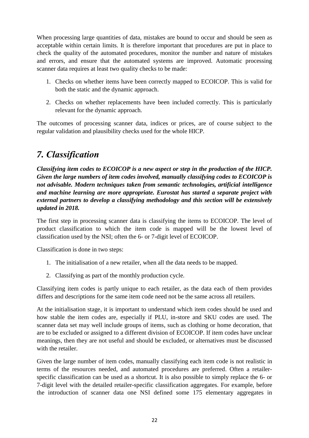When processing large quantities of data, mistakes are bound to occur and should be seen as acceptable within certain limits. It is therefore important that procedures are put in place to check the quality of the automated procedures, monitor the number and nature of mistakes and errors, and ensure that the automated systems are improved. Automatic processing scanner data requires at least two quality checks to be made:

- 1. Checks on whether items have been correctly mapped to ECOICOP. This is valid for both the static and the dynamic approach.
- 2. Checks on whether replacements have been included correctly. This is particularly relevant for the dynamic approach.

The outcomes of processing scanner data, indices or prices, are of course subject to the regular validation and plausibility checks used for the whole HICP.

## <span id="page-21-0"></span>*7. Classification*

*Classifying item codes to ECOICOP is a new aspect or step in the production of the HICP. Given the large numbers of item codes involved, manually classifying codes to ECOICOP is not advisable. Modern techniques taken from semantic technologies, artificial intelligence and machine learning are more appropriate. Eurostat has started a separate project with external partners to develop a classifying methodology and this section will be extensively updated in 2018.* 

The first step in processing scanner data is classifying the items to ECOICOP. The level of product classification to which the item code is mapped will be the lowest level of classification used by the NSI; often the 6- or 7-digit level of ECOICOP.

Classification is done in two steps:

- 1. The initialisation of a new retailer, when all the data needs to be mapped.
- 2. Classifying as part of the monthly production cycle.

Classifying item codes is partly unique to each retailer, as the data each of them provides differs and descriptions for the same item code need not be the same across all retailers.

At the initialisation stage, it is important to understand which item codes should be used and how stable the item codes are, especially if PLU, in-store and SKU codes are used. The scanner data set may well include groups of items, such as clothing or home decoration, that are to be excluded or assigned to a different division of ECOICOP. If item codes have unclear meanings, then they are not useful and should be excluded, or alternatives must be discussed with the retailer.

Given the large number of item codes, manually classifying each item code is not realistic in terms of the resources needed, and automated procedures are preferred. Often a retailerspecific classification can be used as a shortcut. It is also possible to simply replace the 6- or 7-digit level with the detailed retailer-specific classification aggregates. For example, before the introduction of scanner data one NSI defined some 175 elementary aggregates in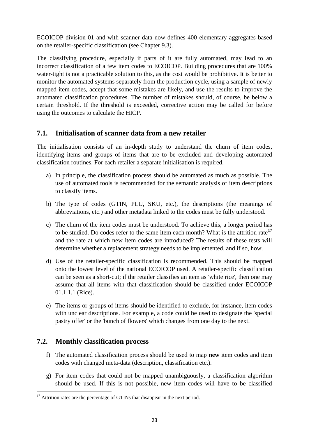ECOICOP division 01 and with scanner data now defines 400 elementary aggregates based on the retailer-specific classification (see Chapter 9.3).

The classifying procedure, especially if parts of it are fully automated, may lead to an incorrect classification of a few item codes to ECOICOP. Building procedures that are 100% water-tight is not a practicable solution to this, as the cost would be prohibitive. It is better to monitor the automated systems separately from the production cycle, using a sample of newly mapped item codes, accept that some mistakes are likely, and use the results to improve the automated classification procedures. The number of mistakes should, of course, be below a certain threshold. If the threshold is exceeded, corrective action may be called for before using the outcomes to calculate the HICP.

## <span id="page-22-0"></span>**7.1. Initialisation of scanner data from a new retailer**

The initialisation consists of an in-depth study to understand the churn of item codes, identifying items and groups of items that are to be excluded and developing automated classification routines. For each retailer a separate initialisation is required.

- a) In principle, the classification process should be automated as much as possible. The use of automated tools is recommended for the semantic analysis of item descriptions to classify items.
- b) The type of codes (GTIN, PLU, SKU, etc.), the descriptions (the meanings of abbreviations, etc.) and other metadata linked to the codes must be fully understood.
- c) The churn of the item codes must be understood. To achieve this, a longer period has to be studied. Do codes refer to the same item each month? What is the attrition rate**<sup>17</sup>** and the rate at which new item codes are introduced? The results of these tests will determine whether a replacement strategy needs to be implemented, and if so, how.
- d) Use of the retailer-specific classification is recommended. This should be mapped onto the lowest level of the national ECOICOP used. A retailer-specific classification can be seen as a short-cut; if the retailer classifies an item as 'white rice', then one may assume that all items with that classification should be classified under ECOICOP 01.1.1.1 (Rice).
- e) The items or groups of items should be identified to exclude, for instance, item codes with unclear descriptions. For example, a code could be used to designate the 'special pastry offer' or the 'bunch of flowers' which changes from one day to the next.

## <span id="page-22-1"></span>**7.2. Monthly classification process**

 $\overline{a}$ 

- f) The automated classification process should be used to map **new** item codes and item codes with changed meta-data (description, classification etc.).
- g) For item codes that could not be mapped unambiguously, a classification algorithm should be used. If this is not possible, new item codes will have to be classified

 $17$  Attrition rates are the percentage of GTINs that disappear in the next period.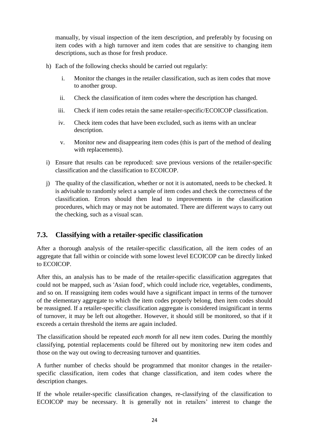manually, by visual inspection of the item description, and preferably by focusing on item codes with a high turnover and item codes that are sensitive to changing item descriptions, such as those for fresh produce.

- h) Each of the following checks should be carried out regularly:
	- i. Monitor the changes in the retailer classification, such as item codes that move to another group.
	- ii. Check the classification of item codes where the description has changed.
	- iii. Check if item codes retain the same retailer-specific/ECOICOP classification.
	- iv. Check item codes that have been excluded, such as items with an unclear description.
	- v. Monitor new and disappearing item codes (this is part of the method of dealing with replacements).
- i) Ensure that results can be reproduced: save previous versions of the retailer-specific classification and the classification to ECOICOP.
- j) The quality of the classification, whether or not it is automated, needs to be checked. It is advisable to randomly select a sample of item codes and check the correctness of the classification. Errors should then lead to improvements in the classification procedures, which may or may not be automated. There are different ways to carry out the checking, such as a visual scan.

## <span id="page-23-0"></span>**7.3. Classifying with a retailer-specific classification**

After a thorough analysis of the retailer-specific classification, all the item codes of an aggregate that fall within or coincide with some lowest level ECOICOP can be directly linked to ECOICOP.

After this, an analysis has to be made of the retailer-specific classification aggregates that could not be mapped, such as 'Asian food', which could include rice, vegetables, condiments, and so on. If reassigning item codes would have a significant impact in terms of the turnover of the elementary aggregate to which the item codes properly belong, then item codes should be reassigned. If a retailer-specific classification aggregate is considered insignificant in terms of turnover, it may be left out altogether. However, it should still be monitored, so that if it exceeds a certain threshold the items are again included.

The classification should be repeated *each month* for all new item codes. During the monthly classifying, potential replacements could be filtered out by monitoring new item codes and those on the way out owing to decreasing turnover and quantities.

A further number of checks should be programmed that monitor changes in the retailerspecific classification, item codes that change classification, and item codes where the description changes.

If the whole retailer-specific classification changes, re-classifying of the classification to ECOICOP may be necessary. It is generally not in retailers' interest to change the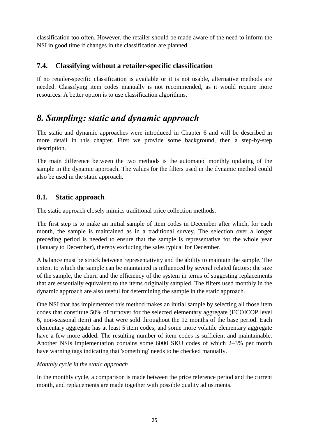classification too often. However, the retailer should be made aware of the need to inform the NSI in good time if changes in the classification are planned.

## <span id="page-24-0"></span>**7.4. Classifying without a retailer-specific classification**

If no retailer-specific classification is available or it is not usable, alternative methods are needed. Classifying item codes manually is not recommended, as it would require more resources. A better option is to use classification algorithms.

## <span id="page-24-1"></span>*8. Sampling: static and dynamic approach*

The static and dynamic approaches were introduced in Chapter 6 and will be described in more detail in this chapter. First we provide some background, then a step-by-step description.

The main difference between the two methods is the automated monthly updating of the sample in the dynamic approach. The values for the filters used in the dynamic method could also be used in the static approach.

## <span id="page-24-2"></span>**8.1. Static approach**

The static approach closely mimics traditional price collection methods.

The first step is to make an initial sample of item codes in December after which, for each month, the sample is maintained as in a traditional survey. The selection over a longer preceding period is needed to ensure that the sample is representative for the whole year (January to December), thereby excluding the sales typical for December.

A balance must be struck between representativity and the ability to maintain the sample. The extent to which the sample can be maintained is influenced by several related factors: the size of the sample, the churn and the efficiency of the system in terms of suggesting replacements that are essentially equivalent to the items originally sampled. The filters used monthly in the dynamic approach are also useful for determining the sample in the static approach.

One NSI that has implemented this method makes an initial sample by selecting all those item codes that constitute 50% of turnover for the selected elementary aggregate (ECOICOP level 6, non-seasonal item) and that were sold throughout the 12 months of the base period. Each elementary aggregate has at least 5 item codes, and some more volatile elementary aggregate have a few more added. The resulting number of item codes is sufficient and maintainable. Another NSIs implementation contains some 6000 SKU codes of which 2–3% per month have warning tags indicating that 'something' needs to be checked manually.

#### *Monthly cycle in the static approach*

In the monthly cycle, a comparison is made between the price reference period and the current month, and replacements are made together with possible quality adjustments.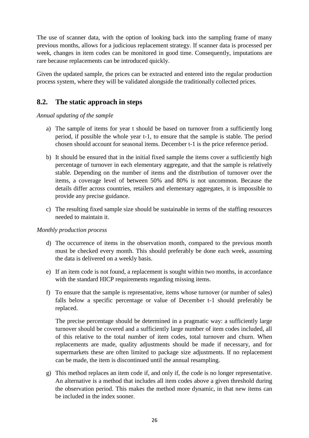The use of scanner data, with the option of looking back into the sampling frame of many previous months, allows for a judicious replacement strategy. If scanner data is processed per week, changes in item codes can be monitored in good time. Consequently, imputations are rare because replacements can be introduced quickly.

Given the updated sample, the prices can be extracted and entered into the regular production process system, where they will be validated alongside the traditionally collected prices.

## <span id="page-25-0"></span>**8.2. The static approach in steps**

*Annual updating of the sample*

- a) The sample of items for year t should be based on turnover from a sufficiently long period, if possible the whole year t-1, to ensure that the sample is stable. The period chosen should account for seasonal items. December t-1 is the price reference period.
- b) It should be ensured that in the initial fixed sample the items cover a sufficiently high percentage of turnover in each elementary aggregate, and that the sample is relatively stable. Depending on the number of items and the distribution of turnover over the items, a coverage level of between 50% and 80% is not uncommon. Because the details differ across countries, retailers and elementary aggregates, it is impossible to provide any precise guidance.
- c) The resulting fixed sample size should be sustainable in terms of the staffing resources needed to maintain it.

#### *Monthly production process*

- d) The occurrence of items in the observation month, compared to the previous month must be checked every month. This should preferably be done each week, assuming the data is delivered on a weekly basis.
- e) If an item code is not found, a replacement is sought within two months, in accordance with the standard HICP requirements regarding missing items.
- f) To ensure that the sample is representative, items whose turnover (or number of sales) falls below a specific percentage or value of December t-1 should preferably be replaced.

The precise percentage should be determined in a pragmatic way: a sufficiently large turnover should be covered and a sufficiently large number of item codes included, all of this relative to the total number of item codes, total turnover and churn. When replacements are made, quality adjustments should be made if necessary, and for supermarkets these are often limited to package size adjustments. If no replacement can be made, the item is discontinued until the annual resampling.

g) This method replaces an item code if, and only if, the code is no longer representative. An alternative is a method that includes all item codes above a given threshold during the observation period. This makes the method more dynamic, in that new items can be included in the index sooner.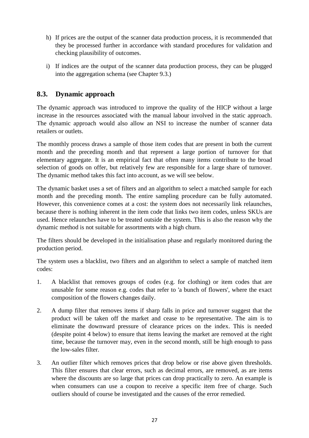- h) If prices are the output of the scanner data production process, it is recommended that they be processed further in accordance with standard procedures for validation and checking plausibility of outcomes.
- i) If indices are the output of the scanner data production process, they can be plugged into the aggregation schema (see Chapter 9.3.)

## <span id="page-26-0"></span>**8.3. Dynamic approach**

The dynamic approach was introduced to improve the quality of the HICP without a large increase in the resources associated with the manual labour involved in the static approach. The dynamic approach would also allow an NSI to increase the number of scanner data retailers or outlets.

The monthly process draws a sample of those item codes that are present in both the current month and the preceding month and that represent a large portion of turnover for that elementary aggregate. It is an empirical fact that often many items contribute to the broad selection of goods on offer, but relatively few are responsible for a large share of turnover. The dynamic method takes this fact into account, as we will see below.

The dynamic basket uses a set of filters and an algorithm to select a matched sample for each month and the preceding month. The entire sampling procedure can be fully automated. However, this convenience comes at a cost: the system does not necessarily link relaunches, because there is nothing inherent in the item code that links two item codes, unless SKUs are used. Hence relaunches have to be treated outside the system. This is also the reason why the dynamic method is not suitable for assortments with a high churn.

The filters should be developed in the initialisation phase and regularly monitored during the production period.

The system uses a blacklist, two filters and an algorithm to select a sample of matched item codes:

- 1. A blacklist that removes groups of codes (e.g. for clothing) or item codes that are unusable for some reason e.g. codes that refer to 'a bunch of flowers', where the exact composition of the flowers changes daily.
- 2. A dump filter that removes items if sharp falls in price and turnover suggest that the product will be taken off the market and cease to be representative. The aim is to eliminate the downward pressure of clearance prices on the index. This is needed (despite point 4 below) to ensure that items leaving the market are removed at the right time, because the turnover may, even in the second month, still be high enough to pass the low-sales filter.
- 3. An outlier filter which removes prices that drop below or rise above given thresholds. This filter ensures that clear errors, such as decimal errors, are removed, as are items where the discounts are so large that prices can drop practically to zero. An example is when consumers can use a coupon to receive a specific item free of charge. Such outliers should of course be investigated and the causes of the error remedied.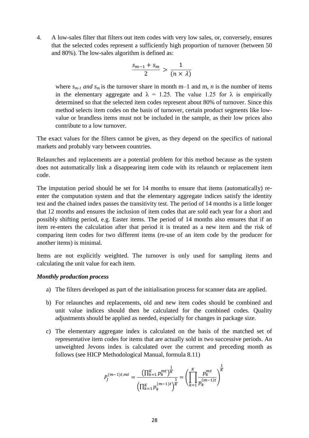4. A low-sales filter that filters out item codes with very low sales, or, conversely, ensures that the selected codes represent a sufficiently high proportion of turnover (between 50 and 80%). The low-sales algorithm is defined as:

$$
\frac{s_{m-1} + s_m}{2} > \frac{1}{(n \times \lambda)}
$$

where  $s_{m-1}$  *and*  $s_m$  is the turnover share in month m–1 and m, *n* is the number of items in the elementary aggregate and  $\lambda = 1.25$ . The value 1.25 for  $\lambda$  is empirically determined so that the selected item codes represent about 80% of turnover. Since this method selects item codes on the basis of turnover, certain product segments like lowvalue or brandless items must not be included in the sample, as their low prices also contribute to a low turnover.

The exact values for the filters cannot be given, as they depend on the specifics of national markets and probably vary between countries.

Relaunches and replacements are a potential problem for this method because as the system does not automatically link a disappearing item code with its relaunch or replacement item code.

The imputation period should be set for 14 months to ensure that items (automatically) reenter the computation system and that the elementary aggregate indices satisfy the identity test and the chained index passes the transitivity test. The period of 14 months is a little longer that 12 months and ensures the inclusion of item codes that are sold each year for a short and possibly shifting period, e.g. Easter items. The period of 14 months also ensures that if an item re-enters the calculation after that period it is treated as a new item and the risk of comparing item codes for two different items (re-use of an item code by the producer for another items) is minimal.

Items are not explicitly weighted. The turnover is only used for sampling items and calculating the unit value for each item.

#### *Monthly production process*

- a) The filters developed as part of the initialisation process for scanner data are applied.
- b) For relaunches and replacements, old and new item codes should be combined and unit value indices should then be calculated for the combined codes. Quality adjustments should be applied as needed, especially for changes in package size.
- c) The elementary aggregate index is calculated on the basis of the matched set of representative item codes for items that are actually sold in two successive periods. An unweighted Jevons index is calculated over the current and preceding month as follows (see HICP Methodological Manual, formula 8.11)

$$
P_{J}^{(m-1)t,mt} = \frac{\left(\prod_{k=1}^{K} p_{k}^{mt}\right)^{\frac{1}{K}}}{\left(\prod_{k=1}^{K} p_{k}^{(m-1)t}\right)^{\frac{1}{K}}} = \left(\prod_{k=1}^{K} \frac{p_{k}^{mt}}{p_{k}^{(m-1)t}}\right)^{\frac{1}{K}}
$$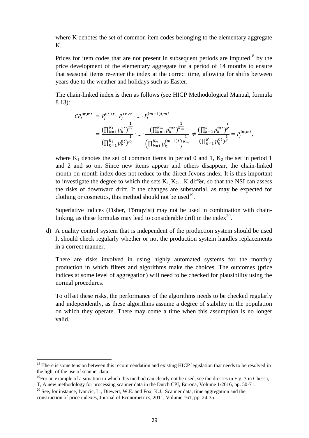where K denotes the set of common item codes belonging to the elementary aggregate K.

Prices for item codes that are not present in subsequent periods are imputed<sup>18</sup> by the price development of the elementary aggregate for a period of 14 months to ensure that seasonal items re-enter the index at the correct time, allowing for shifts between years due to the weather and holidays such as Easter.

The chain-linked index is then as follows (see HICP Methodological Manual, formula 8.13):

$$
CP_j^{0t,mt} = P_j^{0t,1t} \cdot P_j^{1t,2t} \cdot \dots \cdot P_j^{(m-1)t,mt}
$$
  
= 
$$
\frac{\left(\prod_{k=1}^{K_1} p_k^{1t}\right)^{\overline{K_1}}}{\left(\prod_{k=1}^{K_1} p_k^{0t}\right)^{\overline{K_1}}} \cdot \dots \cdot \frac{\left(\prod_{k=1}^{K_m} p_k^{mt}\right)^{\overline{K_m}}}{\left(\prod_{k=1}^{K_m} p_k^{(m-1)t}\right)^{\overline{K_m}}} \neq \frac{\left(\prod_{k=1}^{K} p_k^{mt}\right)^{\overline{K}}}{\left(\prod_{k=1}^{K} p_k^{0t}\right)^{\overline{K}}} = P_j^{0t,mt},
$$

where  $K_1$  denotes the set of common items in period 0 and 1,  $K_2$  the set in period 1 and 2 and so on. Since new items appear and others disappear, the chain-linked month-on-month index does not reduce to the direct Jevons index. It is thus important to investigate the degree to which the sets  $K_1, K_2, \ldots, K$  differ, so that the NSI can assess the risks of downward drift. If the changes are substantial, as may be expected for clothing or cosmetics, this method should not be used<sup>19</sup>.

Superlative indices (Fisher, Törnqvist) may not be used in combination with chainlinking, as these formulas may lead to considerable drift in the index $^{20}$ .

d) A quality control system that is independent of the production system should be used It should check regularly whether or not the production system handles replacements in a correct manner.

There are risks involved in using highly automated systems for the monthly production in which filters and algorithms make the choices. The outcomes (price indices at some level of aggregation) will need to be checked for plausibility using the normal procedures.

To offset these risks, the performance of the algorithms needs to be checked regularly and independently, as these algorithms assume a degree of stability in the population on which they operate. There may come a time when this assumption is no longer valid.

l

 $18$  There is some tension between this recommendation and existing HICP legislation that needs to be resolved in the light of the use of scanner data.

 $19$ For an example of a situation in which this method can clearly not be used, see the dresses in Fig. 3 in Chessa, T, A new methodology for processing scanner data in the Dutch CPI, Eurona, Volume 1/2016, pp. 50-71.

<sup>&</sup>lt;sup>20</sup> See, for instance, Ivancic, L., Diewert, W.E. and Fox, K.J., Scanner data, time aggregation and the construction of price indexes, Journal of Econometrics, 2011, Volume 161, pp. 24-35.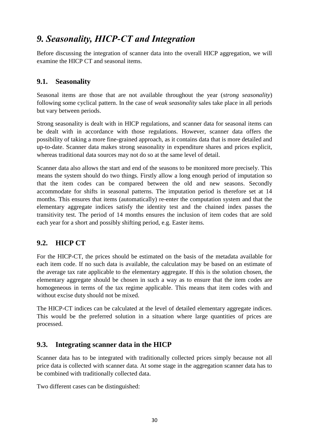## <span id="page-29-0"></span>*9. Seasonality, HICP-CT and Integration*

Before discussing the integration of scanner data into the overall HICP aggregation, we will examine the HICP CT and seasonal items.

## <span id="page-29-1"></span>**9.1. Seasonality**

Seasonal items are those that are not available throughout the year (*strong seasonality*) following some cyclical pattern. In the case of *weak seasonality* sales take place in all periods but vary between periods.

Strong seasonality is dealt with in HICP regulations, and scanner data for seasonal items can be dealt with in accordance with those regulations. However, scanner data offers the possibility of taking a more fine-grained approach, as it contains data that is more detailed and up-to-date. Scanner data makes strong seasonality in expenditure shares and prices explicit, whereas traditional data sources may not do so at the same level of detail.

Scanner data also allows the start and end of the seasons to be monitored more precisely. This means the system should do two things. Firstly allow a long enough period of imputation so that the item codes can be compared between the old and new seasons. Secondly accommodate for shifts in seasonal patterns. The imputation period is therefore set at 14 months. This ensures that items (automatically) re-enter the computation system and that the elementary aggregate indices satisfy the identity test and the chained index passes the transitivity test. The period of 14 months ensures the inclusion of item codes that are sold each year for a short and possibly shifting period, e.g. Easter items.

## <span id="page-29-2"></span>**9.2. HICP CT**

For the HICP-CT, the prices should be estimated on the basis of the metadata available for each item code. If no such data is available, the calculation may be based on an estimate of the average tax rate applicable to the elementary aggregate. If this is the solution chosen, the elementary aggregate should be chosen in such a way as to ensure that the item codes are homogeneous in terms of the tax regime applicable. This means that item codes with and without excise duty should not be mixed.

The HICP-CT indices can be calculated at the level of detailed elementary aggregate indices. This would be the preferred solution in a situation where large quantities of prices are processed.

## <span id="page-29-3"></span>**9.3. Integrating scanner data in the HICP**

Scanner data has to be integrated with traditionally collected prices simply because not all price data is collected with scanner data. At some stage in the aggregation scanner data has to be combined with traditionally collected data.

Two different cases can be distinguished: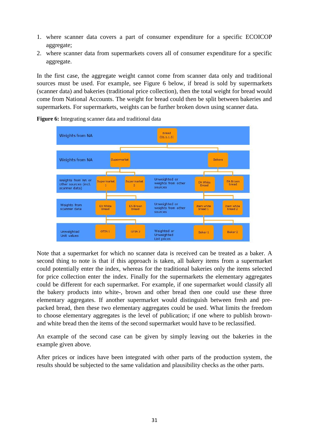- 1. where scanner data covers a part of consumer expenditure for a specific ECOICOP aggregate;
- 2. where scanner data from supermarkets covers all of consumer expenditure for a specific aggregate.

In the first case, the aggregate weight cannot come from scanner data only and traditional sources must be used. For example, see Figure 6 below, if bread is sold by supermarkets (scanner data) and bakeries (traditional price collection), then the total weight for bread would come from National Accounts. The weight for bread could then be split between bakeries and supermarkets. For supermarkets, weights can be further broken down using scanner data.



**Figure 6:** Integrating scanner data and traditional data

Note that a supermarket for which no scanner data is received can be treated as a baker. A second thing to note is that if this approach is taken, all bakery items from a supermarket could potentially enter the index, whereas for the traditional bakeries only the items selected for price collection enter the index. Finally for the supermarkets the elementary aggregates could be different for each supermarket. For example, if one supermarket would classify all the bakery products into white-, brown and other bread then one could use these three elementary aggregates. If another supermarket would distinguish between fresh and prepacked bread, then these two elementary aggregates could be used. What limits the freedom to choose elementary aggregates is the level of publication; if one where to publish brownand white bread then the items of the second supermarket would have to be reclassified.

An example of the second case can be given by simply leaving out the bakeries in the example given above.

After prices or indices have been integrated with other parts of the production system, the results should be subjected to the same validation and plausibility checks as the other parts.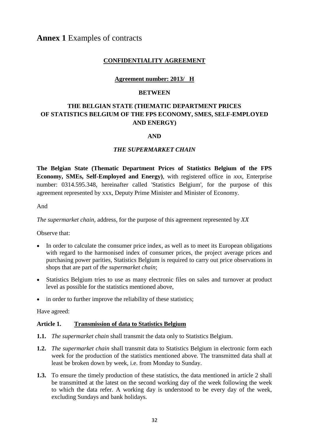### **CONFIDENTIALITY AGREEMENT**

#### **Agreement number: 2013/ H**

#### **BETWEEN**

## **THE BELGIAN STATE (THEMATIC DEPARTMENT PRICES OF STATISTICS BELGIUM OF THE FPS ECONOMY, SMES, SELF-EMPLOYED AND ENERGY)**

#### **AND**

#### *THE SUPERMARKET CHAIN*

**The Belgian State (Thematic Department Prices of Statistics Belgium of the FPS Economy, SMEs, Self-Employed and Energy)**, with registered office in *xxx*, Enterprise number: 0314.595.348, hereinafter called 'Statistics Belgium', for the purpose of this agreement represented by xxx, Deputy Prime Minister and Minister of Economy.

And

*The supermarket chain*, address, for the purpose of this agreement represented by *XX*

Observe that:

- In order to calculate the consumer price index, as well as to meet its European obligations with regard to the harmonised index of consumer prices, the project average prices and purchasing power parities, Statistics Belgium is required to carry out price observations in shops that are part of *the supermarket chain*;
- Statistics Belgium tries to use as many electronic files on sales and turnover at product level as possible for the statistics mentioned above,
- in order to further improve the reliability of these statistics:

Have agreed:

#### **Article 1. Transmission of data to Statistics Belgium**

- **1.1.** *The supermarket chain* shall transmit the data only to Statistics Belgium.
- **1.2.** *The supermarket chain* shall transmit data to Statistics Belgium in electronic form each week for the production of the statistics mentioned above. The transmitted data shall at least be broken down by week, i.e. from Monday to Sunday.
- **1.3.** To ensure the timely production of these statistics, the data mentioned in article 2 shall be transmitted at the latest on the second working day of the week following the week to which the data refer. A working day is understood to be every day of the week, excluding Sundays and bank holidays.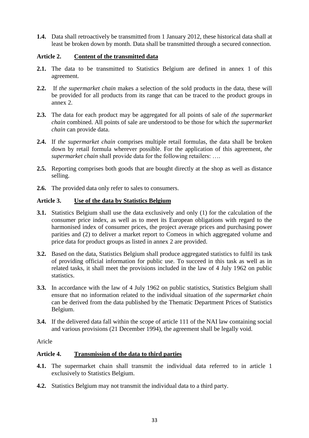**1.4.** Data shall retroactively be transmitted from 1 January 2012, these historical data shall at least be broken down by month. Data shall be transmitted through a secured connection.

#### **Article 2. Content of the transmitted data**

- **2.1.** The data to be transmitted to Statistics Belgium are defined in annex 1 of this agreement.
- **2.2.** If *the supermarket chain* makes a selection of the sold products in the data, these will be provided for all products from its range that can be traced to the product groups in annex 2.
- **2.3.** The data for each product may be aggregated for all points of sale of *the supermarket chain* combined. All points of sale are understood to be those for which *the supermarket chain* can provide data.
- **2.4.** If *the supermarket chain* comprises multiple retail formulas, the data shall be broken down by retail formula wherever possible. For the application of this agreement, *the supermarket chain* shall provide data for the following retailers: ….
- **2.5.** Reporting comprises both goods that are bought directly at the shop as well as distance selling.
- **2.6.** The provided data only refer to sales to consumers.

### **Article 3. Use of the data by Statistics Belgium**

- **3.1.** Statistics Belgium shall use the data exclusively and only (1) for the calculation of the consumer price index, as well as to meet its European obligations with regard to the harmonised index of consumer prices, the project average prices and purchasing power parities and (2) to deliver a market report to Comeos in which aggregated volume and price data for product groups as listed in annex 2 are provided.
- **3.2.** Based on the data, Statistics Belgium shall produce aggregated statistics to fulfil its task of providing official information for public use. To succeed in this task as well as in related tasks, it shall meet the provisions included in the law of 4 July 1962 on public statistics.
- **3.3.** In accordance with the law of 4 July 1962 on public statistics, Statistics Belgium shall ensure that no information related to the individual situation of *the supermarket chain* can be derived from the data published by the Thematic Department Prices of Statistics Belgium.
- **3.4.** If the delivered data fall within the scope of article 111 of the NAI law containing social and various provisions (21 December 1994), the agreement shall be legally void.

Aricle

### **Article 4. Transmission of the data to third parties**

- **4.1.** The supermarket chain shall transmit the individual data referred to in article 1 exclusively to Statistics Belgium.
- **4.2.** Statistics Belgium may not transmit the individual data to a third party.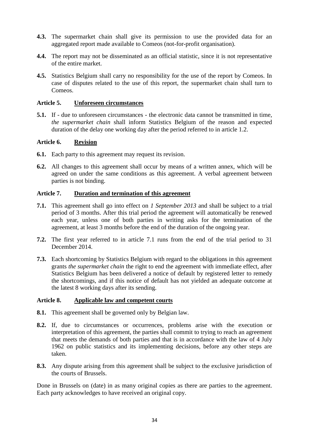- **4.3.** The supermarket chain shall give its permission to use the provided data for an aggregated report made available to Comeos (not-for-profit organisation).
- **4.4.** The report may not be disseminated as an official statistic, since it is not representative of the entire market.
- **4.5.** Statistics Belgium shall carry no responsibility for the use of the report by Comeos. In case of disputes related to the use of this report, the supermarket chain shall turn to Comeos.

#### **Article 5. Unforeseen circumstances**

**5.1.** If - due to unforeseen circumstances - the electronic data cannot be transmitted in time, *the supermarket chain* shall inform Statistics Belgium of the reason and expected duration of the delay one working day after the period referred to in article 1.2.

#### **Article 6. Revision**

- **6.1.** Each party to this agreement may request its revision.
- **6.2.** All changes to this agreement shall occur by means of a written annex, which will be agreed on under the same conditions as this agreement. A verbal agreement between parties is not binding.

#### **Article 7. Duration and termination of this agreement**

- **7.1.** This agreement shall go into effect on *1 September 2013* and shall be subject to a trial period of 3 months. After this trial period the agreement will automatically be renewed each year, unless one of both parties in writing asks for the termination of the agreement, at least 3 months before the end of the duration of the ongoing year.
- **7.2.** The first year referred to in article 7.1 runs from the end of the trial period to 31 December 2014.
- **7.3.** Each shortcoming by Statistics Belgium with regard to the obligations in this agreement grants *the supermarket chain* the right to end the agreement with immediate effect, after Statistics Belgium has been delivered a notice of default by registered letter to remedy the shortcomings, and if this notice of default has not yielded an adequate outcome at the latest 8 working days after its sending.

#### **Article 8. Applicable law and competent courts**

- **8.1.** This agreement shall be governed only by Belgian law.
- **8.2.** If, due to circumstances or occurrences, problems arise with the execution or interpretation of this agreement, the parties shall commit to trying to reach an agreement that meets the demands of both parties and that is in accordance with the law of 4 July 1962 on public statistics and its implementing decisions, before any other steps are taken.
- **8.3.** Any dispute arising from this agreement shall be subject to the exclusive jurisdiction of the courts of Brussels.

Done in Brussels on (date) in as many original copies as there are parties to the agreement. Each party acknowledges to have received an original copy.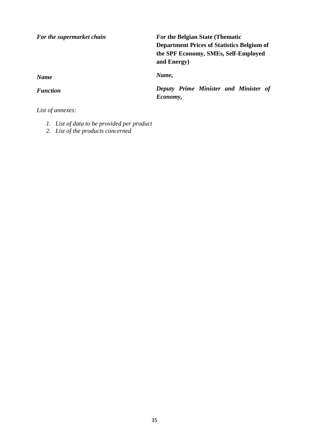*For the supermarket chain*

*For* **the Belgian State (Thematic Department Prices of Statistics Belgium of the SPF Economy, SMEs, Self-Employed and Energy)**

*Name,* 

*Deputy Prime Minister and Minister of Economy,*

*Name*

*Function*

*List of annexes:*

- *1. List of data to be provided per product*
- *2. List of the products concerned*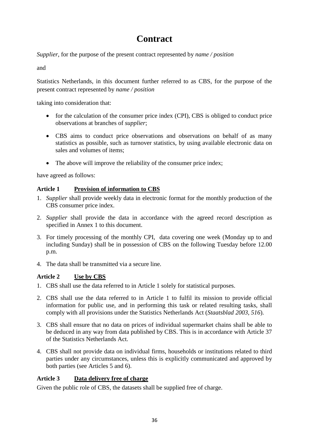## **Contract**

*Supplier*, for the purpose of the present contract represented by *name / position*

and

Statistics Netherlands, in this document further referred to as CBS, for the purpose of the present contract represented by *name / position*

taking into consideration that:

- for the calculation of the consumer price index (CPI), CBS is obliged to conduct price observations at branches of *supplier*;
- CBS aims to conduct price observations and observations on behalf of as many statistics as possible, such as turnover statistics, by using available electronic data on sales and volumes of items;
- The above will improve the reliability of the consumer price index;

have agreed as follows:

### **Article 1 Provision of information to CBS**

- 1. *Supplier* shall provide weekly data in electronic format for the monthly production of the CBS consumer price index.
- 2. *Supplier* shall provide the data in accordance with the agreed record description as specified in Annex 1 to this document.
- 3. For timely processing of the monthly CPI, data covering one week (Monday up to and including Sunday) shall be in possession of CBS on the following Tuesday before 12.00 p.m.
- 4. The data shall be transmitted via a secure line.

### **Article 2 Use by CBS**

- 1. CBS shall use the data referred to in Article 1 solely for statistical purposes.
- 2. CBS shall use the data referred to in Article 1 to fulfil its mission to provide official information for public use, and in performing this task or related resulting tasks, shall comply with all provisions under the Statistics Netherlands Act (*Staatsblad 2003, 516*).
- 3. CBS shall ensure that no data on prices of individual supermarket chains shall be able to be deduced in any way from data published by CBS. This is in accordance with Article 37 of the Statistics Netherlands Act.
- 4. CBS shall not provide data on individual firms, households or institutions related to third parties under any circumstances, unless this is explicitly communicated and approved by both parties (see Articles 5 and 6).

### **Article 3 Data delivery free of charge**

Given the public role of CBS, the datasets shall be supplied free of charge.